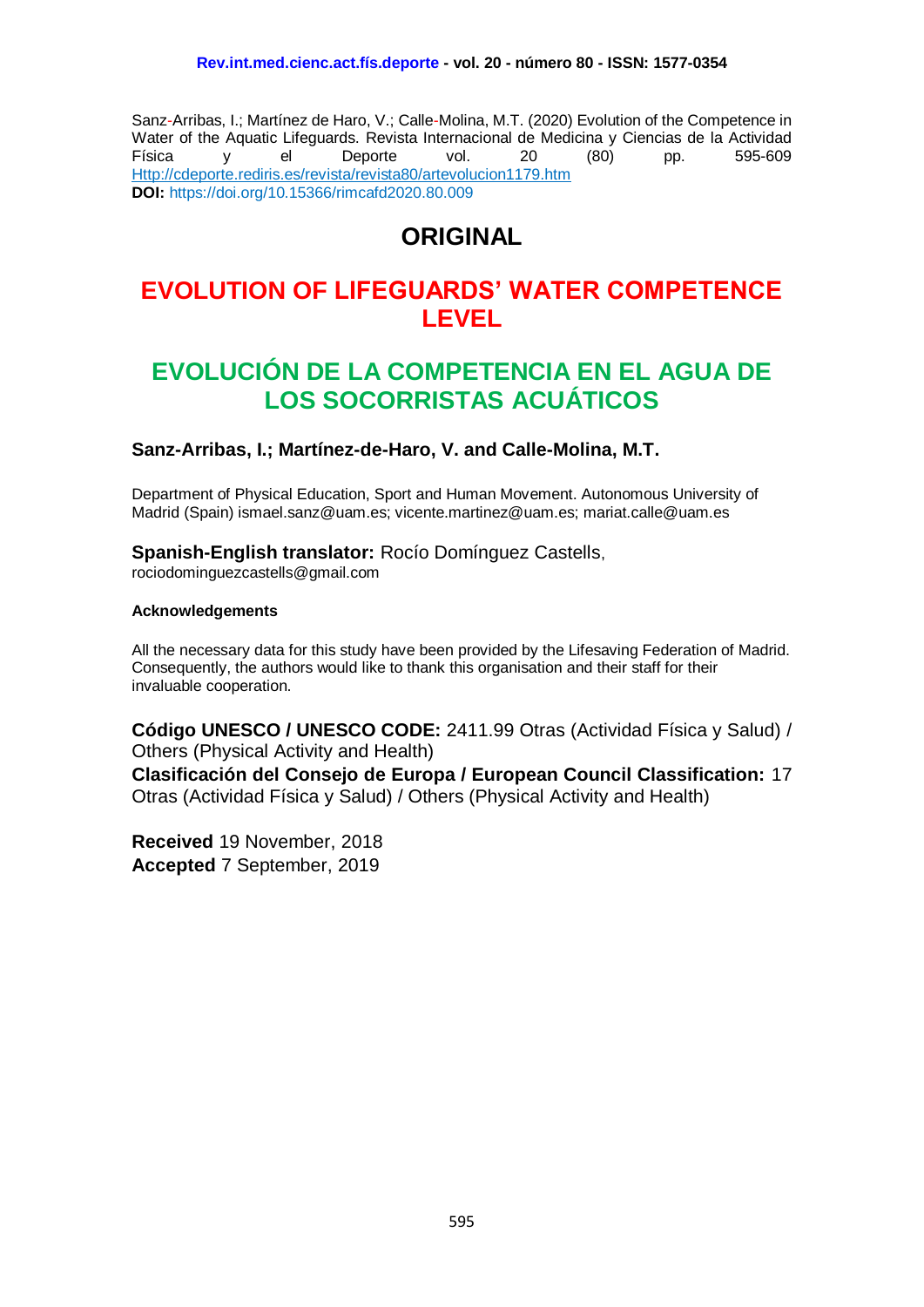Sanz-Arribas, I.; Martínez de Haro, V.; Calle-Molina, M.T. (2020) Evolution of the Competence in Water of the Aquatic Lifeguards. Revista Internacional de Medicina y Ciencias de la Actividad Física y el Deporte vol. 20 (80) pp. 595-609 [Http://cdeporte.rediris.es/revista/revista80/artevolucion1179.htm](http://cdeporte.rediris.es/revista/revista80/artevolucion1179.htm) **DOI:** <https://doi.org/10.15366/rimcafd2020.80.009>

# **ORIGINAL**

# **EVOLUTION OF LIFEGUARDS' WATER COMPETENCE LEVEL**

# **EVOLUCIÓN DE LA COMPETENCIA EN EL AGUA DE LOS SOCORRISTAS ACUÁTICOS**

#### **Sanz-Arribas, I.; Martínez-de-Haro, V. and Calle-Molina, M.T.**

Department of Physical Education, Sport and Human Movement. Autonomous University of Madrid (Spain) ismael.sanz@uam.es; vicente.martinez@uam.es; mariat.calle@uam.es

#### **Spanish-English translator:** Rocío Domínguez Castells,

rociodominguezcastells@gmail.com

#### **Acknowledgements**

All the necessary data for this study have been provided by the Lifesaving Federation of Madrid. Consequently, the authors would like to thank this organisation and their staff for their invaluable cooperation.

**Código UNESCO / UNESCO CODE:** 2411.99 Otras (Actividad Física y Salud) / Others (Physical Activity and Health)

**Clasificación del Consejo de Europa / European Council Classification:** 17 Otras (Actividad Física y Salud) / Others (Physical Activity and Health)

**Received** 19 November, 2018 **Accepted** 7 September, 2019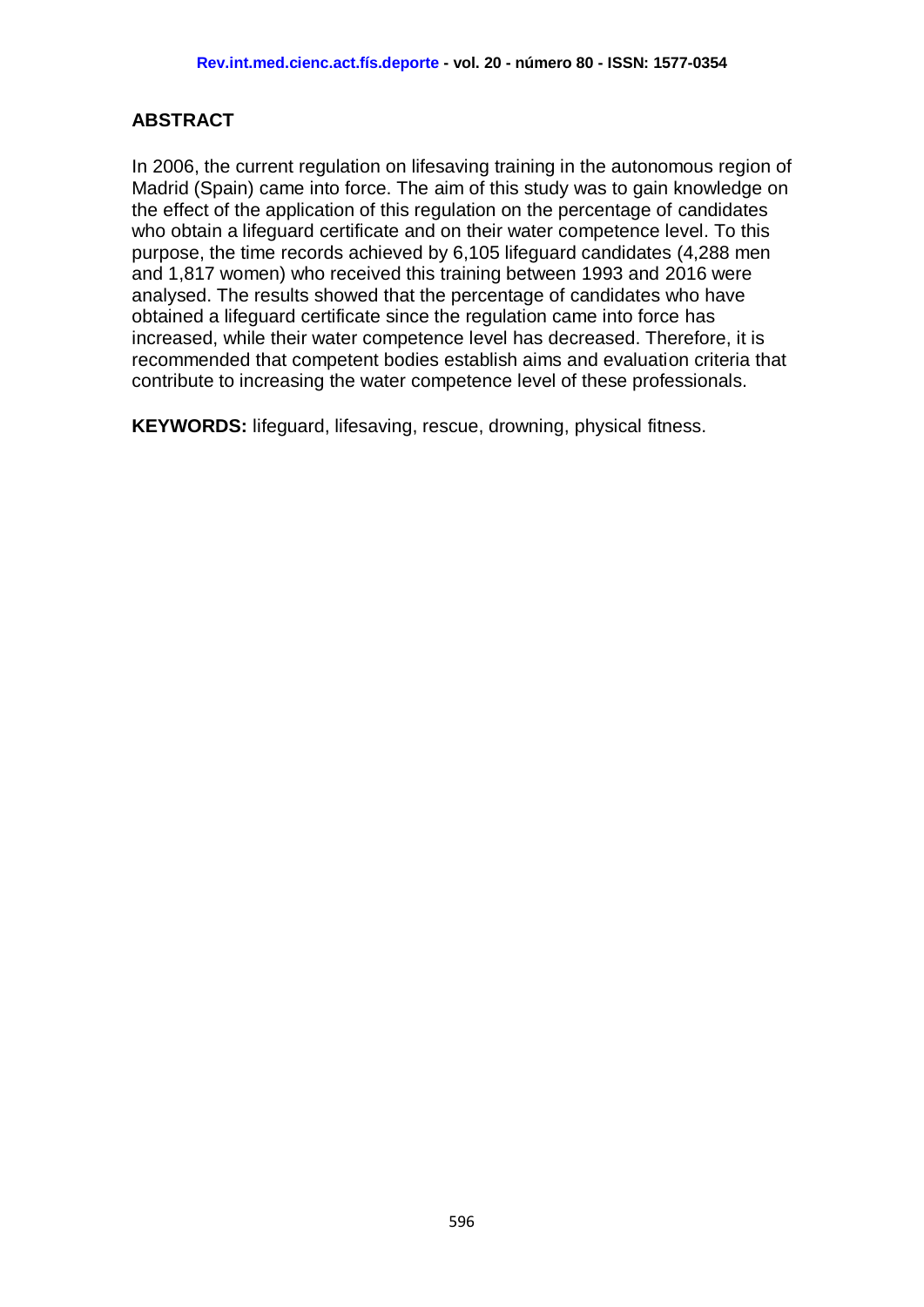# **ABSTRACT**

In 2006, the current regulation on lifesaving training in the autonomous region of Madrid (Spain) came into force. The aim of this study was to gain knowledge on the effect of the application of this regulation on the percentage of candidates who obtain a lifeguard certificate and on their water competence level. To this purpose, the time records achieved by 6,105 lifeguard candidates (4,288 men and 1,817 women) who received this training between 1993 and 2016 were analysed. The results showed that the percentage of candidates who have obtained a lifeguard certificate since the regulation came into force has increased, while their water competence level has decreased. Therefore, it is recommended that competent bodies establish aims and evaluation criteria that contribute to increasing the water competence level of these professionals.

**KEYWORDS:** lifeguard, lifesaving, rescue, drowning, physical fitness.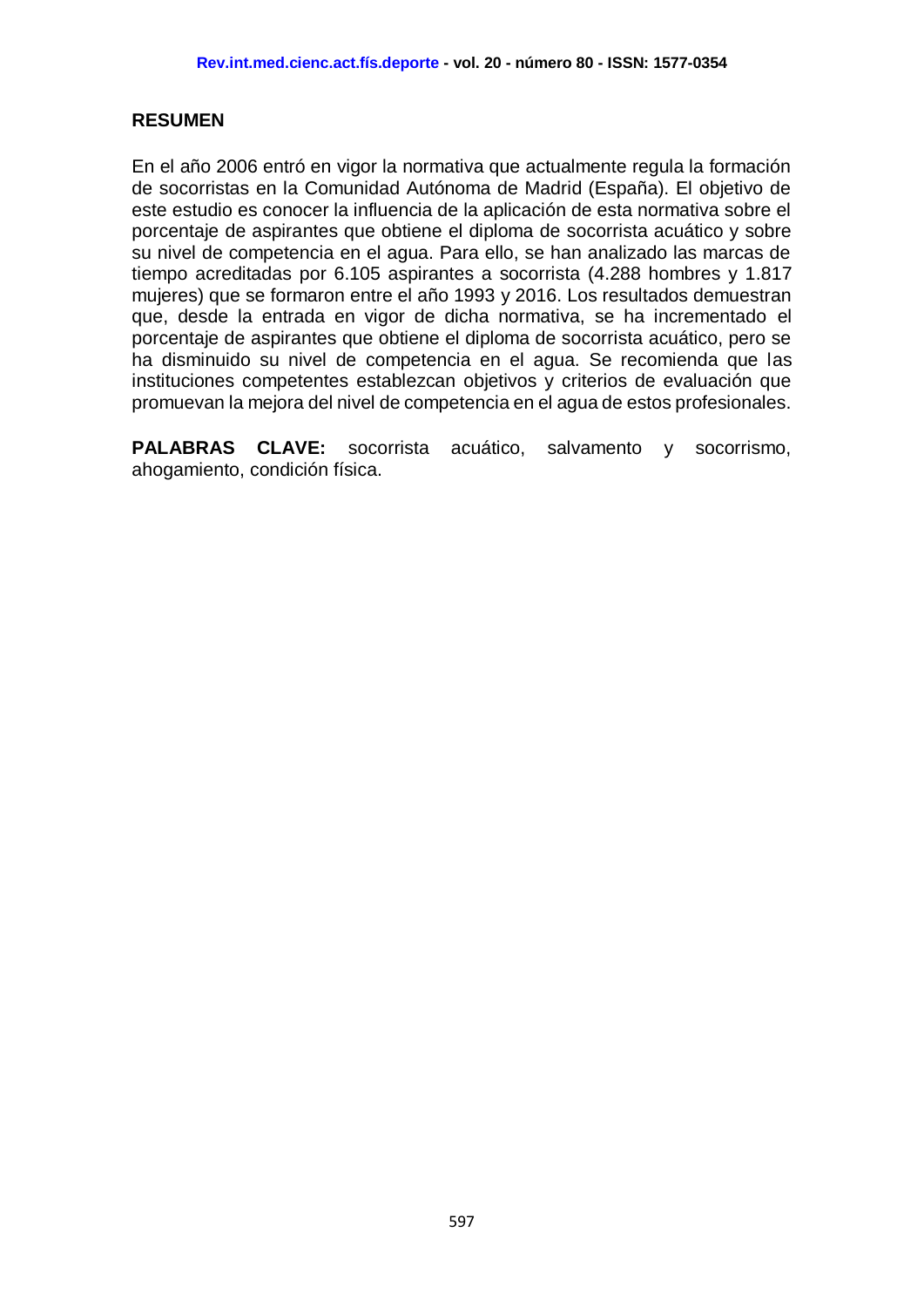# **RESUMEN**

En el año 2006 entró en vigor la normativa que actualmente regula la formación de socorristas en la Comunidad Autónoma de Madrid (España). El objetivo de este estudio es conocer la influencia de la aplicación de esta normativa sobre el porcentaje de aspirantes que obtiene el diploma de socorrista acuático y sobre su nivel de competencia en el agua. Para ello, se han analizado las marcas de tiempo acreditadas por 6.105 aspirantes a socorrista (4.288 hombres y 1.817 mujeres) que se formaron entre el año 1993 y 2016. Los resultados demuestran que, desde la entrada en vigor de dicha normativa, se ha incrementado el porcentaje de aspirantes que obtiene el diploma de socorrista acuático, pero se ha disminuido su nivel de competencia en el agua. Se recomienda que las instituciones competentes establezcan objetivos y criterios de evaluación que promuevan la mejora del nivel de competencia en el agua de estos profesionales.

**PALABRAS CLAVE:** socorrista acuático, salvamento y socorrismo, ahogamiento, condición física.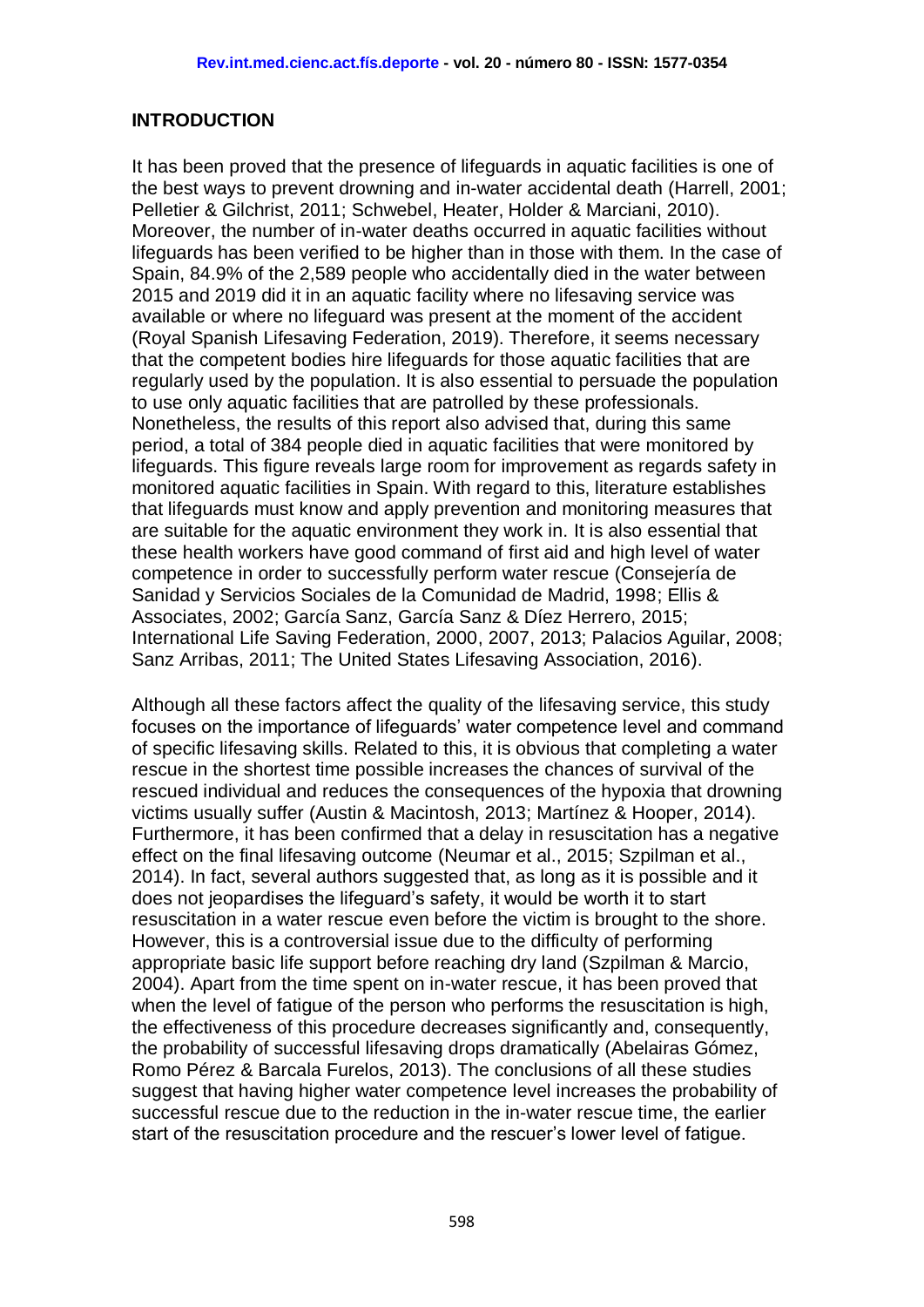## **INTRODUCTION**

It has been proved that the presence of lifeguards in aquatic facilities is one of the best ways to prevent drowning and in-water accidental death [\(Harrell, 2001;](#page-13-0) [Pelletier & Gilchrist, 2011;](#page-14-0) [Schwebel, Heater, Holder](#page-14-1) & Marciani, 2010). Moreover, the number of in-water deaths occurred in aquatic facilities without lifeguards has been verified to be higher than in those with them. In the case of Spain, 84.9% of the 2,589 people who accidentally died in the water between 2015 and 2019 did it in an aquatic facility where no lifesaving service was available or where no lifeguard was present at the moment of the accident (Royal Spanish Lifesaving Federation, 2019). Therefore, it seems necessary that the competent bodies hire lifeguards for those aquatic facilities that are regularly used by the population. It is also essential to persuade the population to use only aquatic facilities that are patrolled by these professionals. Nonetheless, the results of this report also advised that, during this same period, a total of 384 people died in aquatic facilities that were monitored by lifeguards. This figure reveals large room for improvement as regards safety in monitored aquatic facilities in Spain. With regard to this, literature establishes that lifeguards must know and apply prevention and monitoring measures that are suitable for the aquatic environment they work in. It is also essential that these health workers have good command of first aid and high level of water competence in order to successfully perform water rescue [\(Consejería de](#page-13-1)  [Sanidad y Servicios Sociales de la Comunidad de Madrid, 1998;](#page-13-1) [Ellis &](#page-13-2)  [Associates, 2002;](#page-13-2) [García Sanz, García Sanz](#page-13-3) & Díez Herrero, 2015; [International Life Saving Federation, 2000,](#page-13-4) [2007,](#page-13-5) [2013;](#page-13-6) [Palacios Aguilar, 2008;](#page-14-2) [Sanz Arribas, 2011;](#page-14-3) [The United States Lifesaving Association, 2016\)](#page-14-4).

Although all these factors affect the quality of the lifesaving service, this study focuses on the importance of lifeguards' water competence level and command of specific lifesaving skills. Related to this, it is obvious that completing a water rescue in the shortest time possible increases the chances of survival of the rescued individual and reduces the consequences of the hypoxia that drowning victims usually suffer (Austin & Macintosh, 2013; [Martínez & Hooper, 2014\)](#page-14-5). Furthermore, it has been confirmed that a delay in resuscitation has a negative effect on the final lifesaving outcome [\(Neumar et al., 2015;](#page-14-6) [Szpilman et al.,](#page-14-7)  [2014\)](#page-14-7). In fact, several authors suggested that, as long as it is possible and it does not jeopardises the lifeguard's safety, it would be worth it to start resuscitation in a water rescue even before the victim is brought to the shore. However, this is a controversial issue due to the difficulty of performing appropriate basic life support before reaching dry land [\(Szpilman & Marcio,](#page-14-8)  [2004\)](#page-14-8). Apart from the time spent on in-water rescue, it has been proved that when the level of fatigue of the person who performs the resuscitation is high, the effectiveness of this procedure decreases significantly and, consequently, the probability of successful lifesaving drops dramatically [\(Abelairas Gómez,](#page-13-7)  Romo Pérez & [Barcala Furelos, 2013\)](#page-13-7). The conclusions of all these studies suggest that having higher water competence level increases the probability of successful rescue due to the reduction in the in-water rescue time, the earlier start of the resuscitation procedure and the rescuer's lower level of fatigue.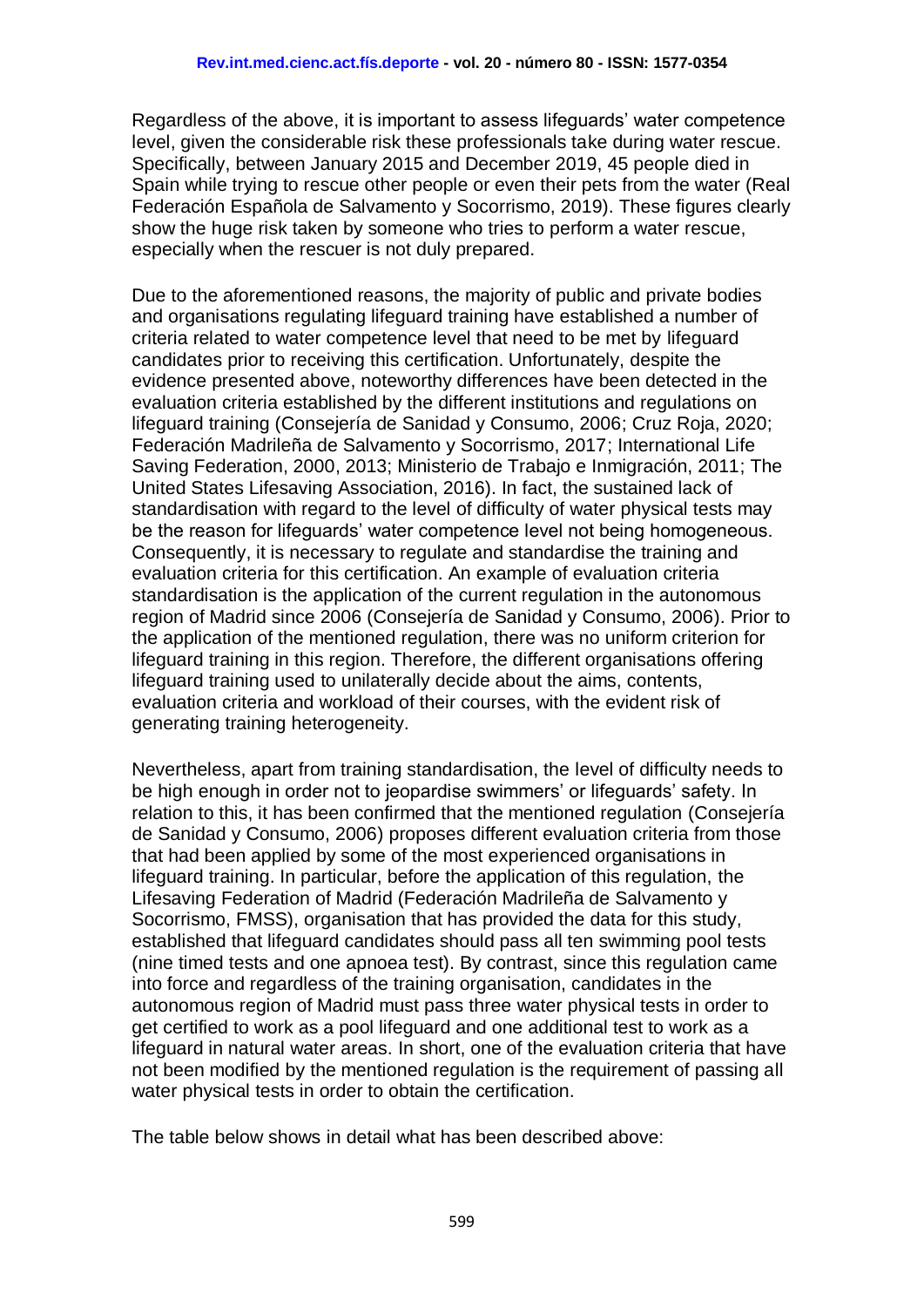Regardless of the above, it is important to assess lifeguards' water competence level, given the considerable risk these professionals take during water rescue. Specifically, between January 2015 and December 2019, 45 people died in Spain while trying to rescue other people or even their pets from the water (Real Federación Española de Salvamento y Socorrismo, 2019). These figures clearly show the huge risk taken by someone who tries to perform a water rescue, especially when the rescuer is not duly prepared.

Due to the aforementioned reasons, the majority of public and private bodies and organisations regulating lifeguard training have established a number of criteria related to water competence level that need to be met by lifeguard candidates prior to receiving this certification. Unfortunately, despite the evidence presented above, noteworthy differences have been detected in the evaluation criteria established by the different institutions and regulations on lifeguard training [\(Consejería de Sanidad y Consumo, 2006;](#page-13-8) [Cruz Roja, 2020;](#page-13-9) [Federación Madrileña de Salvamento y Socorrismo, 2017;](#page-13-10) [International Life](#page-13-4)  [Saving Federation, 2000,](#page-13-4) [2013;](#page-13-6) [Ministerio de Trabajo e Inmigración, 2011;](#page-14-9) [The](#page-14-4)  [United States Lifesaving Association, 2016\)](#page-14-4). In fact, the sustained lack of standardisation with regard to the level of difficulty of water physical tests may be the reason for lifeguards' water competence level not being homogeneous. Consequently, it is necessary to regulate and standardise the training and evaluation criteria for this certification. An example of evaluation criteria standardisation is the application of the current regulation in the autonomous region of Madrid since 2006 [\(Consejería de Sanidad y Consumo, 2006\)](#page-13-8). Prior to the application of the mentioned regulation, there was no uniform criterion for lifeguard training in this region. Therefore, the different organisations offering lifeguard training used to unilaterally decide about the aims, contents, evaluation criteria and workload of their courses, with the evident risk of generating training heterogeneity.

Nevertheless, apart from training standardisation, the level of difficulty needs to be high enough in order not to jeopardise swimmers' or lifeguards' safety. In relation to this, it has been confirmed that the mentioned regulation [\(Consejería](#page-13-8)  [de Sanidad y Consumo, 2006\)](#page-13-8) proposes different evaluation criteria from those that had been applied by some of the most experienced organisations in lifeguard training. In particular, before the application of this regulation, the Lifesaving Federation of Madrid (Federación Madrileña de Salvamento y Socorrismo, FMSS), organisation that has provided the data for this study, established that lifeguard candidates should pass all ten swimming pool tests (nine timed tests and one apnoea test). By contrast, since this regulation came into force and regardless of the training organisation, candidates in the autonomous region of Madrid must pass three water physical tests in order to get certified to work as a pool lifeguard and one additional test to work as a lifeguard in natural water areas. In short, one of the evaluation criteria that have not been modified by the mentioned regulation is the requirement of passing all water physical tests in order to obtain the certification.

The table below shows in detail what has been described above: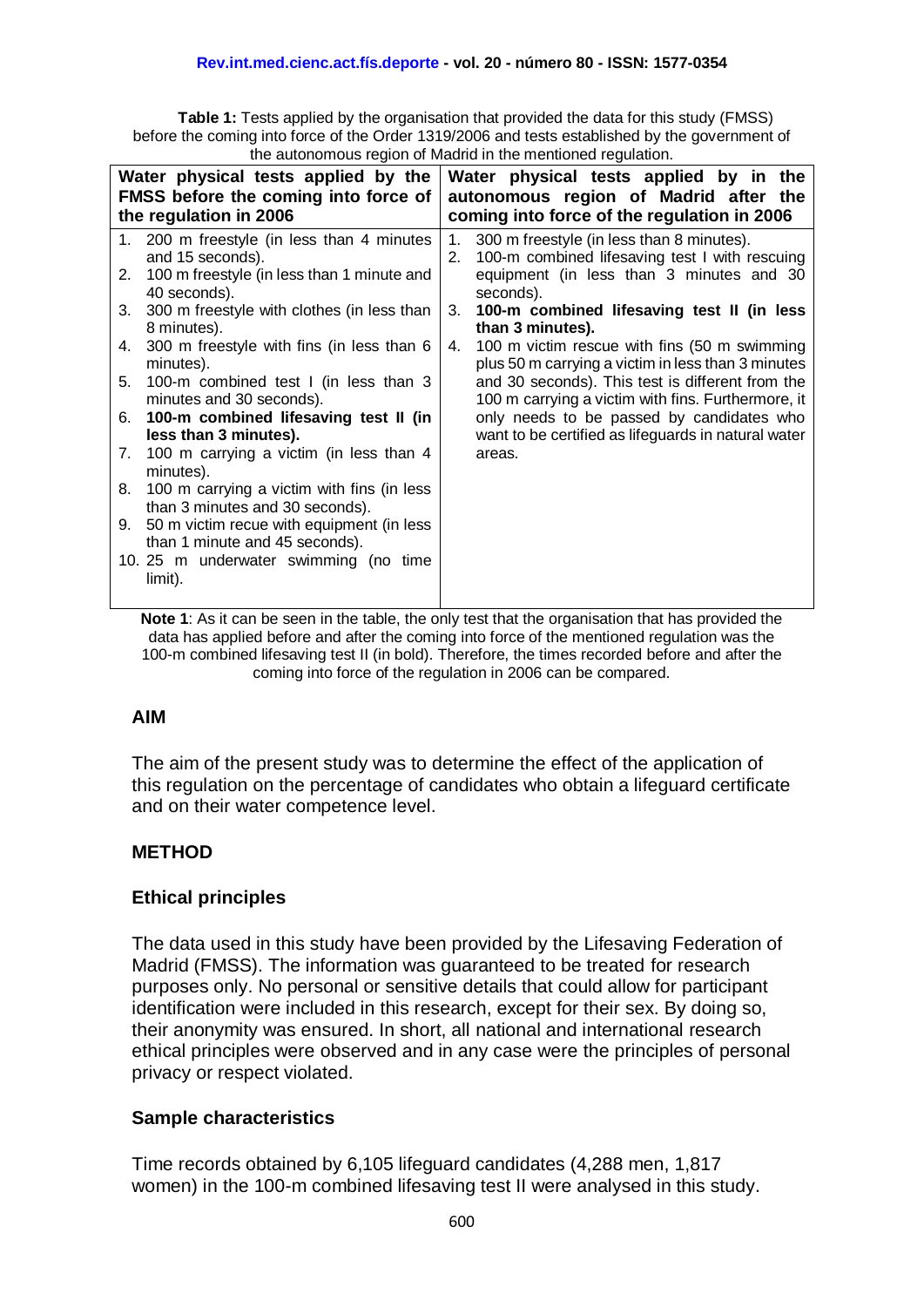**Table 1:** Tests applied by the organisation that provided the data for this study (FMSS) before the coming into force of the Order 1319/2006 and tests established by the government of the autonomous region of Madrid in the mentioned regulation.

|    | Water physical tests applied by the<br><b>FMSS</b> before the coming into force of<br>the regulation in 2006 | Water physical tests applied by in the<br>autonomous region of Madrid after the<br>coming into force of the regulation in 2006 |                                                                                                        |  |  |  |
|----|--------------------------------------------------------------------------------------------------------------|--------------------------------------------------------------------------------------------------------------------------------|--------------------------------------------------------------------------------------------------------|--|--|--|
|    | 1. 200 m freestyle (in less than 4 minutes<br>and 15 seconds).                                               | 1.<br>2.                                                                                                                       | 300 m freestyle (in less than 8 minutes).<br>100-m combined lifesaving test I with rescuing            |  |  |  |
| 2. | 100 m freestyle (in less than 1 minute and<br>40 seconds).                                                   |                                                                                                                                | equipment (in less than 3 minutes and 30<br>seconds).                                                  |  |  |  |
| 3. | 300 m freestyle with clothes (in less than<br>8 minutes).                                                    | 3.                                                                                                                             | 100-m combined lifesaving test II (in less<br>than 3 minutes).                                         |  |  |  |
| 4. | 300 m freestyle with fins (in less than 6<br>minutes).                                                       | 4.                                                                                                                             | 100 m victim rescue with fins (50 m swimming<br>plus 50 m carrying a victim in less than 3 minutes     |  |  |  |
| 5. | 100-m combined test I (in less than 3<br>minutes and 30 seconds).                                            |                                                                                                                                | and 30 seconds). This test is different from the<br>100 m carrying a victim with fins. Furthermore, it |  |  |  |
| 6. | 100-m combined lifesaving test II (in<br>less than 3 minutes).                                               |                                                                                                                                | only needs to be passed by candidates who<br>want to be certified as lifeguards in natural water       |  |  |  |
| 7. | 100 m carrying a victim (in less than 4<br>minutes).                                                         |                                                                                                                                | areas.                                                                                                 |  |  |  |
| 8. | 100 m carrying a victim with fins (in less<br>than 3 minutes and 30 seconds).                                |                                                                                                                                |                                                                                                        |  |  |  |
| 9. | 50 m victim recue with equipment (in less<br>than 1 minute and 45 seconds).                                  |                                                                                                                                |                                                                                                        |  |  |  |
|    | 10.25 m underwater swimming (no time<br>limit).                                                              |                                                                                                                                |                                                                                                        |  |  |  |

**Note 1**: As it can be seen in the table, the only test that the organisation that has provided the data has applied before and after the coming into force of the mentioned regulation was the 100-m combined lifesaving test II (in bold). Therefore, the times recorded before and after the coming into force of the regulation in 2006 can be compared.

## **AIM**

The aim of the present study was to determine the effect of the application of this regulation on the percentage of candidates who obtain a lifeguard certificate and on their water competence level.

# **METHOD**

## **Ethical principles**

The data used in this study have been provided by the Lifesaving Federation of Madrid (FMSS). The information was guaranteed to be treated for research purposes only. No personal or sensitive details that could allow for participant identification were included in this research, except for their sex. By doing so, their anonymity was ensured. In short, all national and international research ethical principles were observed and in any case were the principles of personal privacy or respect violated.

# **Sample characteristics**

Time records obtained by 6,105 lifeguard candidates (4,288 men, 1,817 women) in the 100-m combined lifesaving test II were analysed in this study.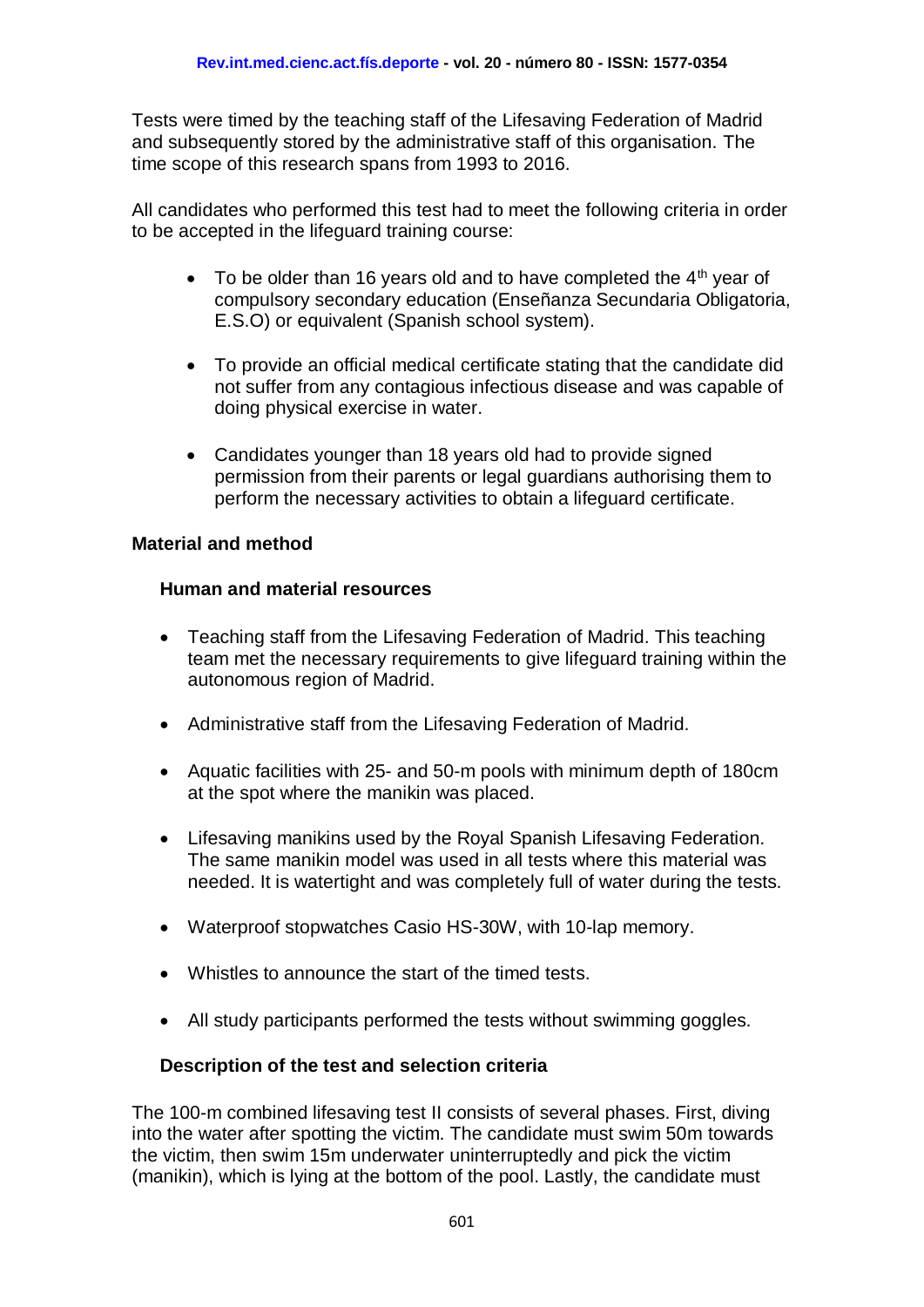Tests were timed by the teaching staff of the Lifesaving Federation of Madrid and subsequently stored by the administrative staff of this organisation. The time scope of this research spans from 1993 to 2016.

All candidates who performed this test had to meet the following criteria in order to be accepted in the lifeguard training course:

- $\bullet$  To be older than 16 years old and to have completed the 4<sup>th</sup> year of compulsory secondary education (Enseñanza Secundaria Obligatoria, E.S.O) or equivalent (Spanish school system).
- To provide an official medical certificate stating that the candidate did not suffer from any contagious infectious disease and was capable of doing physical exercise in water.
- Candidates younger than 18 years old had to provide signed permission from their parents or legal guardians authorising them to perform the necessary activities to obtain a lifeguard certificate.

## **Material and method**

#### **Human and material resources**

- Teaching staff from the Lifesaving Federation of Madrid. This teaching team met the necessary requirements to give lifeguard training within the autonomous region of Madrid.
- Administrative staff from the Lifesaving Federation of Madrid.
- Aquatic facilities with 25- and 50-m pools with minimum depth of 180cm at the spot where the manikin was placed.
- Lifesaving manikins used by the Royal Spanish Lifesaving Federation. The same manikin model was used in all tests where this material was needed. It is watertight and was completely full of water during the tests.
- Waterproof stopwatches Casio HS-30W, with 10-lap memory.
- Whistles to announce the start of the timed tests.
- All study participants performed the tests without swimming goggles.

## **Description of the test and selection criteria**

The 100-m combined lifesaving test II consists of several phases. First, diving into the water after spotting the victim. The candidate must swim 50m towards the victim, then swim 15m underwater uninterruptedly and pick the victim (manikin), which is lying at the bottom of the pool. Lastly, the candidate must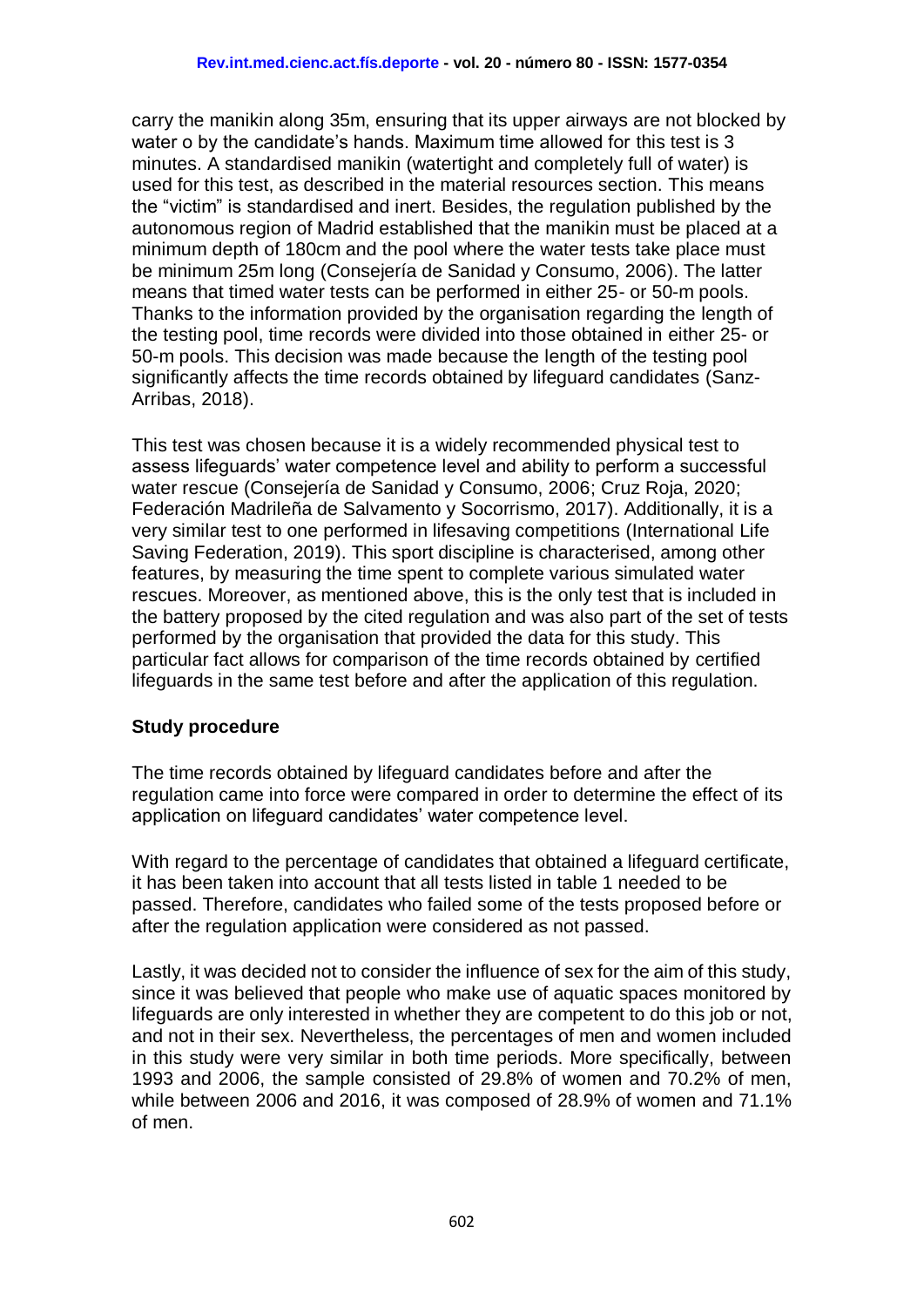carry the manikin along 35m, ensuring that its upper airways are not blocked by water o by the candidate's hands. Maximum time allowed for this test is 3 minutes. A standardised manikin (watertight and completely full of water) is used for this test, as described in the material resources section. This means the "victim" is standardised and inert. Besides, the regulation published by the autonomous region of Madrid established that the manikin must be placed at a minimum depth of 180cm and the pool where the water tests take place must be minimum 25m long [\(Consejería de Sanidad y Consumo, 2006\)](#page-13-8). The latter means that timed water tests can be performed in either 25- or 50-m pools. Thanks to the information provided by the organisation regarding the length of the testing pool, time records were divided into those obtained in either 25- or 50-m pools. This decision was made because the length of the testing pool significantly affects the time records obtained by lifeguard candidates [\(Sanz-](#page-14-10)[Arribas, 2018\)](#page-14-10).

This test was chosen because it is a widely recommended physical test to assess lifeguards' water competence level and ability to perform a successful water rescue [\(Consejería de Sanidad y Consumo, 2006;](#page-13-8) [Cruz Roja, 2020;](#page-13-9) [Federación Madrileña de Salvamento y Socorrismo, 2017\)](#page-13-10). Additionally, it is a very similar test to one performed in lifesaving competitions [\(International Life](#page-13-11)  [Saving Federation, 2019\)](#page-13-11). This sport discipline is characterised, among other features, by measuring the time spent to complete various simulated water rescues. Moreover, as mentioned above, this is the only test that is included in the battery proposed by the cited regulation and was also part of the set of tests performed by the organisation that provided the data for this study. This particular fact allows for comparison of the time records obtained by certified lifeguards in the same test before and after the application of this regulation.

## **Study procedure**

The time records obtained by lifeguard candidates before and after the regulation came into force were compared in order to determine the effect of its application on lifeguard candidates' water competence level.

With regard to the percentage of candidates that obtained a lifeguard certificate, it has been taken into account that all tests listed in table 1 needed to be passed. Therefore, candidates who failed some of the tests proposed before or after the regulation application were considered as not passed.

Lastly, it was decided not to consider the influence of sex for the aim of this study, since it was believed that people who make use of aquatic spaces monitored by lifeguards are only interested in whether they are competent to do this job or not, and not in their sex. Nevertheless, the percentages of men and women included in this study were very similar in both time periods. More specifically, between 1993 and 2006, the sample consisted of 29.8% of women and 70.2% of men, while between 2006 and 2016, it was composed of 28.9% of women and 71.1% of men.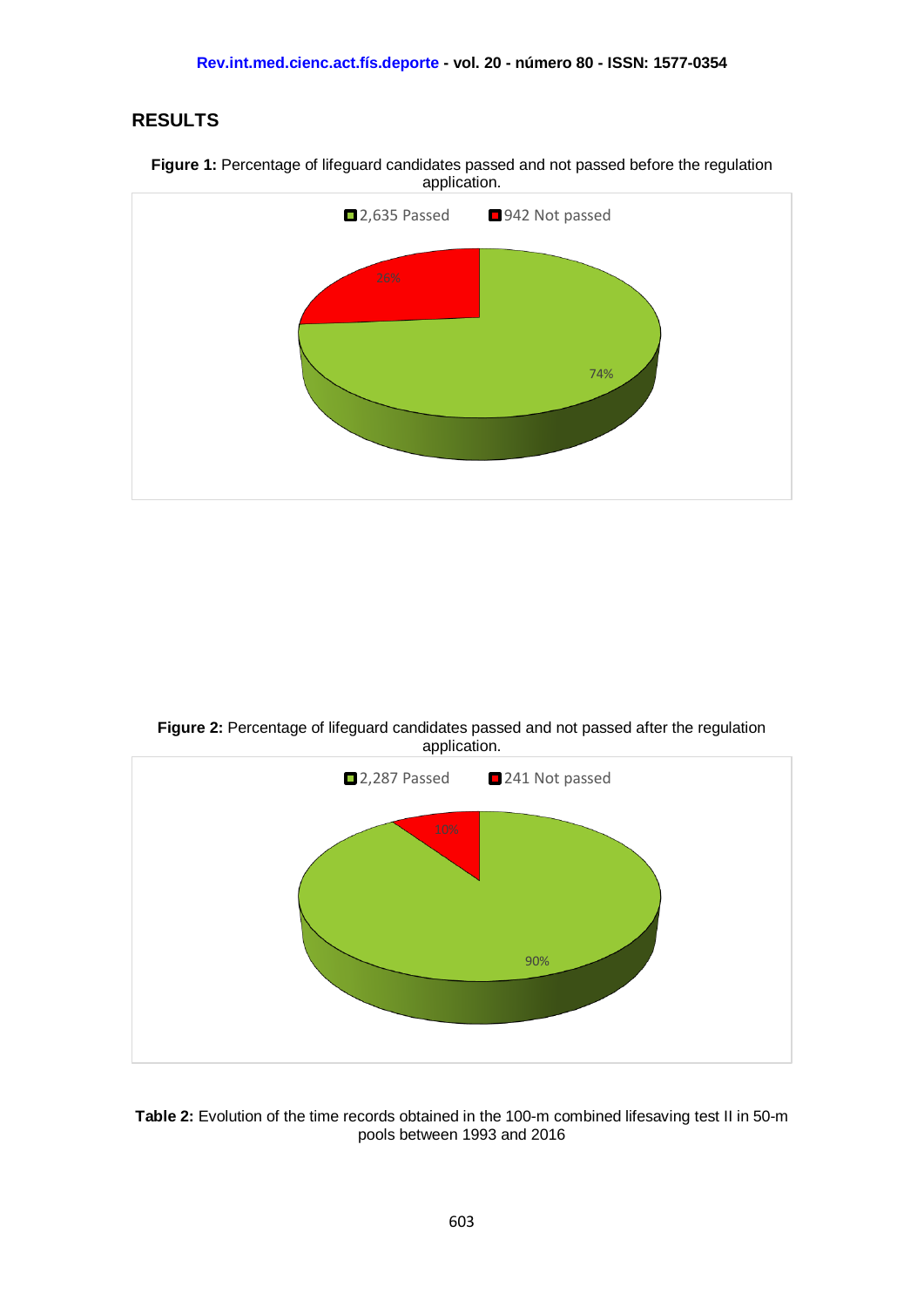# **RESULTS**





**Figure 2:** Percentage of lifeguard candidates passed and not passed after the regulation application.



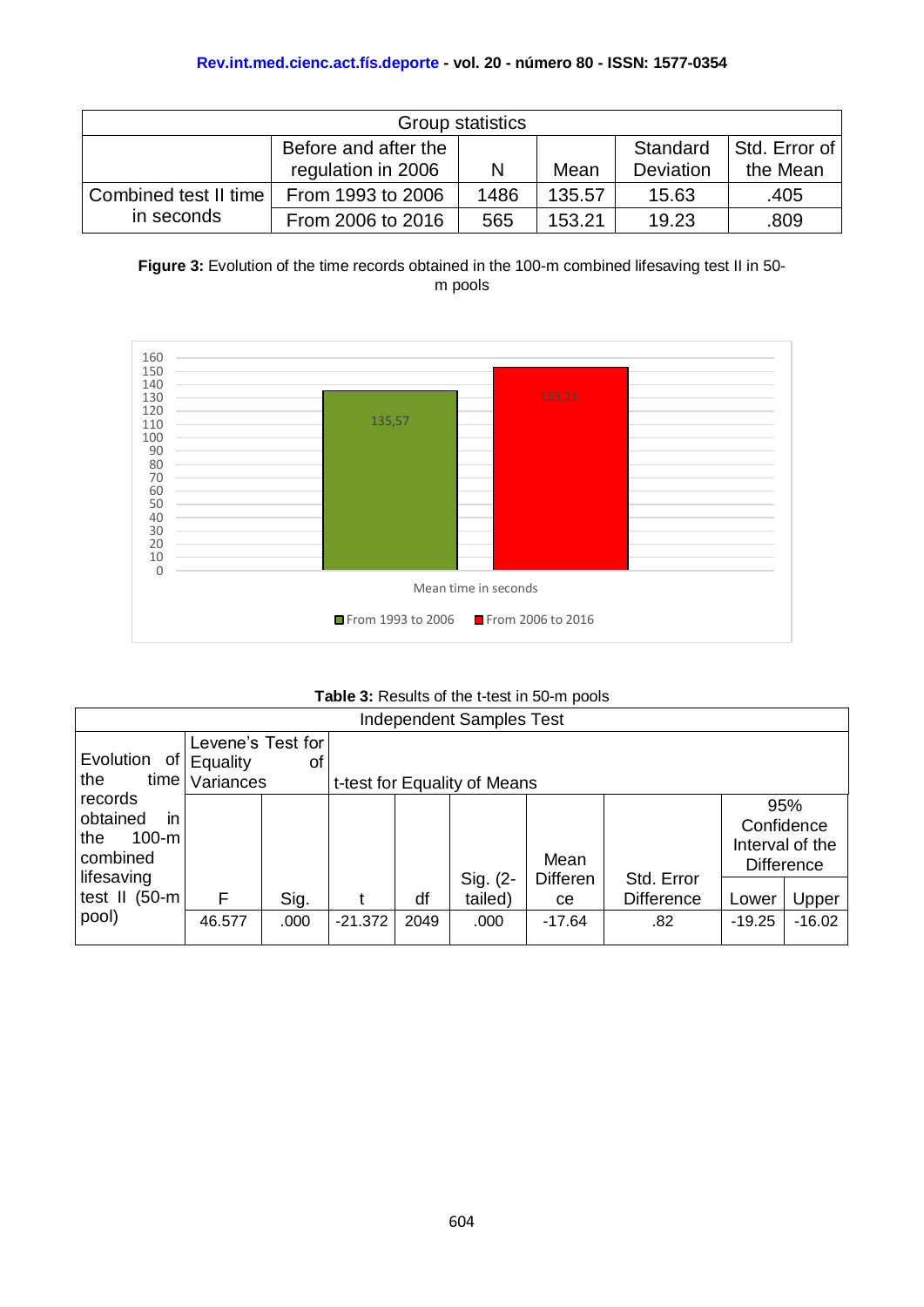| Group statistics                                                                                                |                   |      |        |       |      |  |  |  |
|-----------------------------------------------------------------------------------------------------------------|-------------------|------|--------|-------|------|--|--|--|
| Before and after the<br>Std. Error of I<br>Standard<br>regulation in 2006<br>the Mean<br>Deviation<br>Mean<br>N |                   |      |        |       |      |  |  |  |
| Combined test II time                                                                                           | From 1993 to 2006 | 1486 | 135.57 | 15.63 | .405 |  |  |  |
| in seconds                                                                                                      | From 2006 to 2016 | 565  | 153.21 | 19.23 | .809 |  |  |  |

**Figure 3:** Evolution of the time records obtained in the 100-m combined lifesaving test II in 50 m pools



#### **Table 3:** Results of the t-test in 50-m pools

| <b>Independent Samples Test</b>                         |                                     |      |           |                              |                     |                       |                                 |          |                                                           |  |
|---------------------------------------------------------|-------------------------------------|------|-----------|------------------------------|---------------------|-----------------------|---------------------------------|----------|-----------------------------------------------------------|--|
|                                                         | Levene's Test for                   |      |           |                              |                     |                       |                                 |          |                                                           |  |
|                                                         | Evolution<br>of '<br>Equality<br>οf |      |           |                              |                     |                       |                                 |          |                                                           |  |
| the<br>time l                                           | Variances                           |      |           | t-test for Equality of Means |                     |                       |                                 |          |                                                           |  |
| records<br>in<br>obtained<br>$100-m$<br>the<br>combined |                                     |      |           |                              |                     | Mean                  |                                 |          | 95%<br>Confidence<br>Interval of the<br><b>Difference</b> |  |
| lifesaving<br>test II (50-m                             | F                                   | Sig. |           | df                           | Sig. (2-<br>tailed) | <b>Differen</b><br>ce | Std. Error<br><b>Difference</b> | Lower    | Upper                                                     |  |
| pool)                                                   | 46.577                              | .000 | $-21.372$ | 2049                         | .000                | $-17.64$              | .82                             | $-19.25$ | $-16.02$                                                  |  |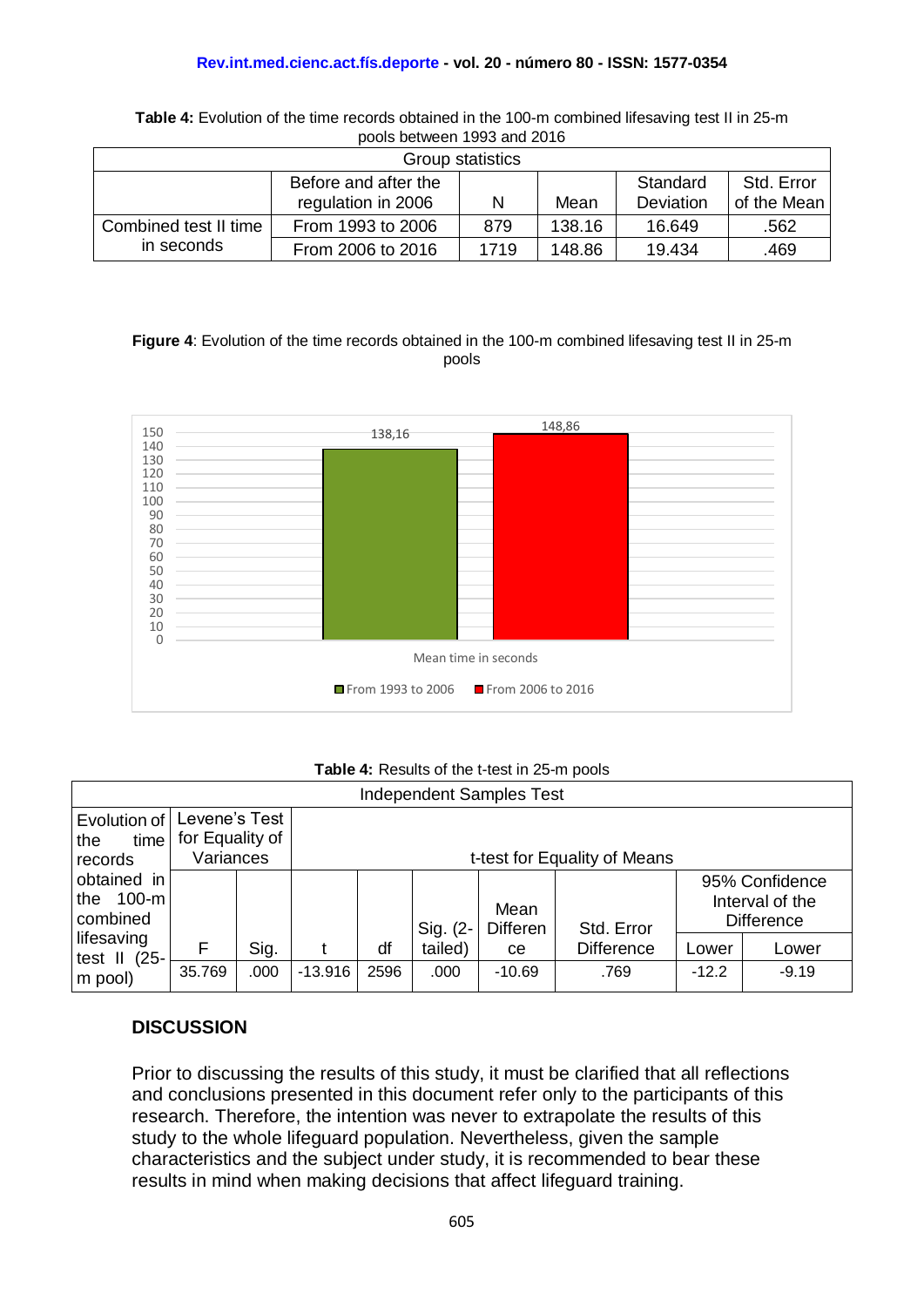#### **Rev.int.med.cienc.act.fís.deporte - vol. 20 - número 80 - ISSN: 1577-0354**

| <u>DUUIS DULWUUTI TUUU AHU LUTU</u>            |                    |      |        |           |             |  |  |  |
|------------------------------------------------|--------------------|------|--------|-----------|-------------|--|--|--|
| Group statistics                               |                    |      |        |           |             |  |  |  |
| Std. Error<br>Before and after the<br>Standard |                    |      |        |           |             |  |  |  |
|                                                | regulation in 2006 |      | Mean   | Deviation | of the Mean |  |  |  |
| Combined test II time                          | From 1993 to 2006  | 879  | 138.16 | 16.649    | .562        |  |  |  |
| in seconds                                     | From 2006 to 2016  | 1719 | 148.86 | 19.434    | .469        |  |  |  |

**Table 4:** Evolution of the time records obtained in the 100-m combined lifesaving test II in 25-m pools between 1993 and 2016

#### **Figure 4**: Evolution of the time records obtained in the 100-m combined lifesaving test II in 25-m pools



#### **Table 4:** Results of the t-test in 25-m pools

| <b>Independent Samples Test</b>           |                                  |      |           |                              |          |                         |                   |         |                                                        |  |
|-------------------------------------------|----------------------------------|------|-----------|------------------------------|----------|-------------------------|-------------------|---------|--------------------------------------------------------|--|
| Evolution of<br>time<br>the               | Levene's Test<br>for Equality of |      |           |                              |          |                         |                   |         |                                                        |  |
| records                                   | Variances                        |      |           | t-test for Equality of Means |          |                         |                   |         |                                                        |  |
| obtained in<br>$100-m$<br>the<br>combined |                                  |      |           |                              | Sig. (2- | Mean<br><b>Differen</b> | Std. Error        |         | 95% Confidence<br>Interval of the<br><b>Difference</b> |  |
| lifesaving<br>test $II$ (25-              | F                                | Sig. |           | df                           | tailed)  | ce                      | <b>Difference</b> | Lower   | Lower                                                  |  |
| m pool)                                   | 35.769                           | .000 | $-13.916$ | 2596                         | .000     | $-10.69$                | .769              | $-12.2$ | $-9.19$                                                |  |

## **DISCUSSION**

Prior to discussing the results of this study, it must be clarified that all reflections and conclusions presented in this document refer only to the participants of this research. Therefore, the intention was never to extrapolate the results of this study to the whole lifeguard population. Nevertheless, given the sample characteristics and the subject under study, it is recommended to bear these results in mind when making decisions that affect lifeguard training.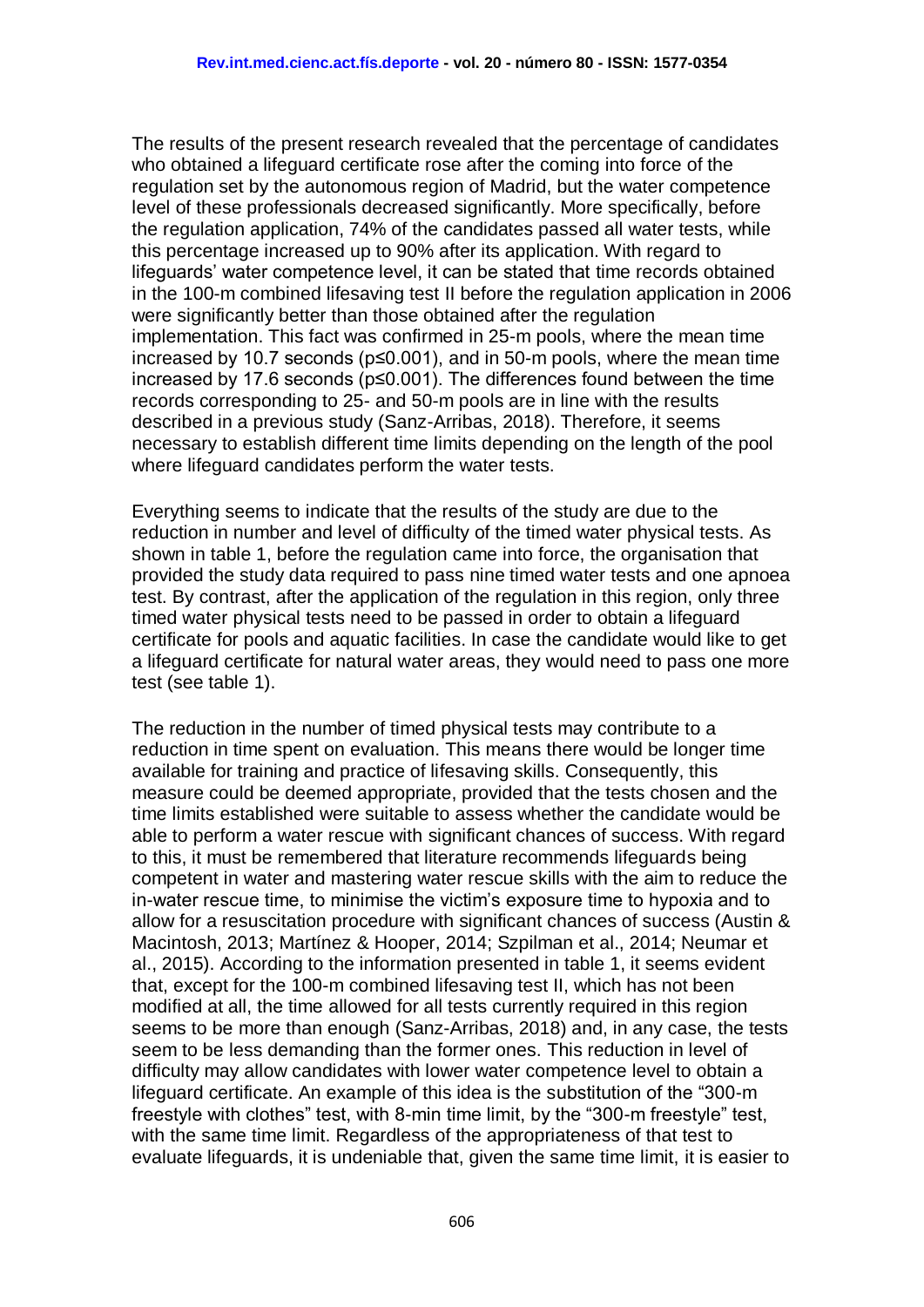The results of the present research revealed that the percentage of candidates who obtained a lifeguard certificate rose after the coming into force of the regulation set by the autonomous region of Madrid, but the water competence level of these professionals decreased significantly. More specifically, before the regulation application, 74% of the candidates passed all water tests, while this percentage increased up to 90% after its application. With regard to lifeguards' water competence level, it can be stated that time records obtained in the 100-m combined lifesaving test II before the regulation application in 2006 were significantly better than those obtained after the regulation implementation. This fact was confirmed in 25-m pools, where the mean time increased by 10.7 seconds (p≤0.001), and in 50-m pools, where the mean time increased by 17.6 seconds (p≤0.001). The differences found between the time records corresponding to 25- and 50-m pools are in line with the results described in a previous study (Sanz-Arribas, 2018). Therefore, it seems necessary to establish different time limits depending on the length of the pool where lifeguard candidates perform the water tests.

Everything seems to indicate that the results of the study are due to the reduction in number and level of difficulty of the timed water physical tests. As shown in table 1, before the regulation came into force, the organisation that provided the study data required to pass nine timed water tests and one apnoea test. By contrast, after the application of the regulation in this region, only three timed water physical tests need to be passed in order to obtain a lifeguard certificate for pools and aquatic facilities. In case the candidate would like to get a lifeguard certificate for natural water areas, they would need to pass one more test (see table 1).

The reduction in the number of timed physical tests may contribute to a reduction in time spent on evaluation. This means there would be longer time available for training and practice of lifesaving skills. Consequently, this measure could be deemed appropriate, provided that the tests chosen and the time limits established were suitable to assess whether the candidate would be able to perform a water rescue with significant chances of success. With regard to this, it must be remembered that literature recommends lifeguards being competent in water and mastering water rescue skills with the aim to reduce the in-water rescue time, to minimise the victim's exposure time to hypoxia and to allow for a resuscitation procedure with significant chances of success (Austin & Macintosh, 2013; Martínez & Hooper, 2014; Szpilman et al., 2014; Neumar et al., 2015). According to the information presented in table 1, it seems evident that, except for the 100-m combined lifesaving test II, which has not been modified at all, the time allowed for all tests currently required in this region seems to be more than enough (Sanz-Arribas, 2018) and, in any case, the tests seem to be less demanding than the former ones. This reduction in level of difficulty may allow candidates with lower water competence level to obtain a lifeguard certificate. An example of this idea is the substitution of the "300-m freestyle with clothes" test, with 8-min time limit, by the "300-m freestyle" test, with the same time limit. Regardless of the appropriateness of that test to evaluate lifeguards, it is undeniable that, given the same time limit, it is easier to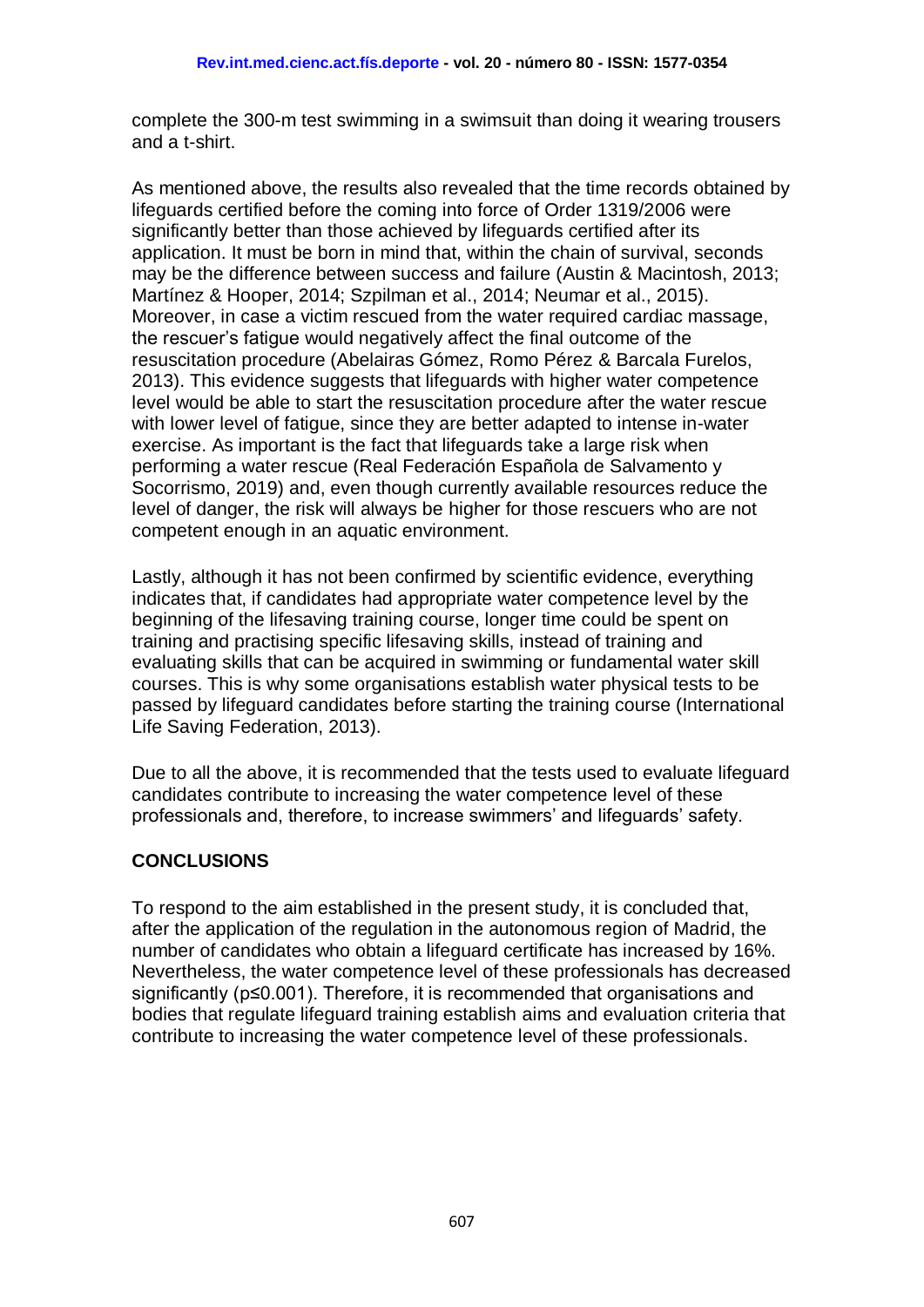complete the 300-m test swimming in a swimsuit than doing it wearing trousers and a t-shirt.

As mentioned above, the results also revealed that the time records obtained by lifeguards certified before the coming into force of Order 1319/2006 were significantly better than those achieved by lifeguards certified after its application. It must be born in mind that, within the chain of survival, seconds may be the difference between success and failure (Austin & Macintosh, 2013; Martínez & Hooper, 2014; Szpilman et al., 2014; Neumar et al., 2015). Moreover, in case a victim rescued from the water required cardiac massage, the rescuer's fatigue would negatively affect the final outcome of the resuscitation procedure (Abelairas Gómez, Romo Pérez & Barcala Furelos, 2013). This evidence suggests that lifeguards with higher water competence level would be able to start the resuscitation procedure after the water rescue with lower level of fatigue, since they are better adapted to intense in-water exercise. As important is the fact that lifeguards take a large risk when performing a water rescue (Real Federación Española de Salvamento y Socorrismo, 2019) and, even though currently available resources reduce the level of danger, the risk will always be higher for those rescuers who are not competent enough in an aquatic environment.

Lastly, although it has not been confirmed by scientific evidence, everything indicates that, if candidates had appropriate water competence level by the beginning of the lifesaving training course, longer time could be spent on training and practising specific lifesaving skills, instead of training and evaluating skills that can be acquired in swimming or fundamental water skill courses. This is why some organisations establish water physical tests to be passed by lifeguard candidates before starting the training course (International Life Saving Federation, 2013).

Due to all the above, it is recommended that the tests used to evaluate lifeguard candidates contribute to increasing the water competence level of these professionals and, therefore, to increase swimmers' and lifeguards' safety.

# **CONCLUSIONS**

To respond to the aim established in the present study, it is concluded that, after the application of the regulation in the autonomous region of Madrid, the number of candidates who obtain a lifeguard certificate has increased by 16%. Nevertheless, the water competence level of these professionals has decreased significantly (p≤0.001). Therefore, it is recommended that organisations and bodies that regulate lifeguard training establish aims and evaluation criteria that contribute to increasing the water competence level of these professionals.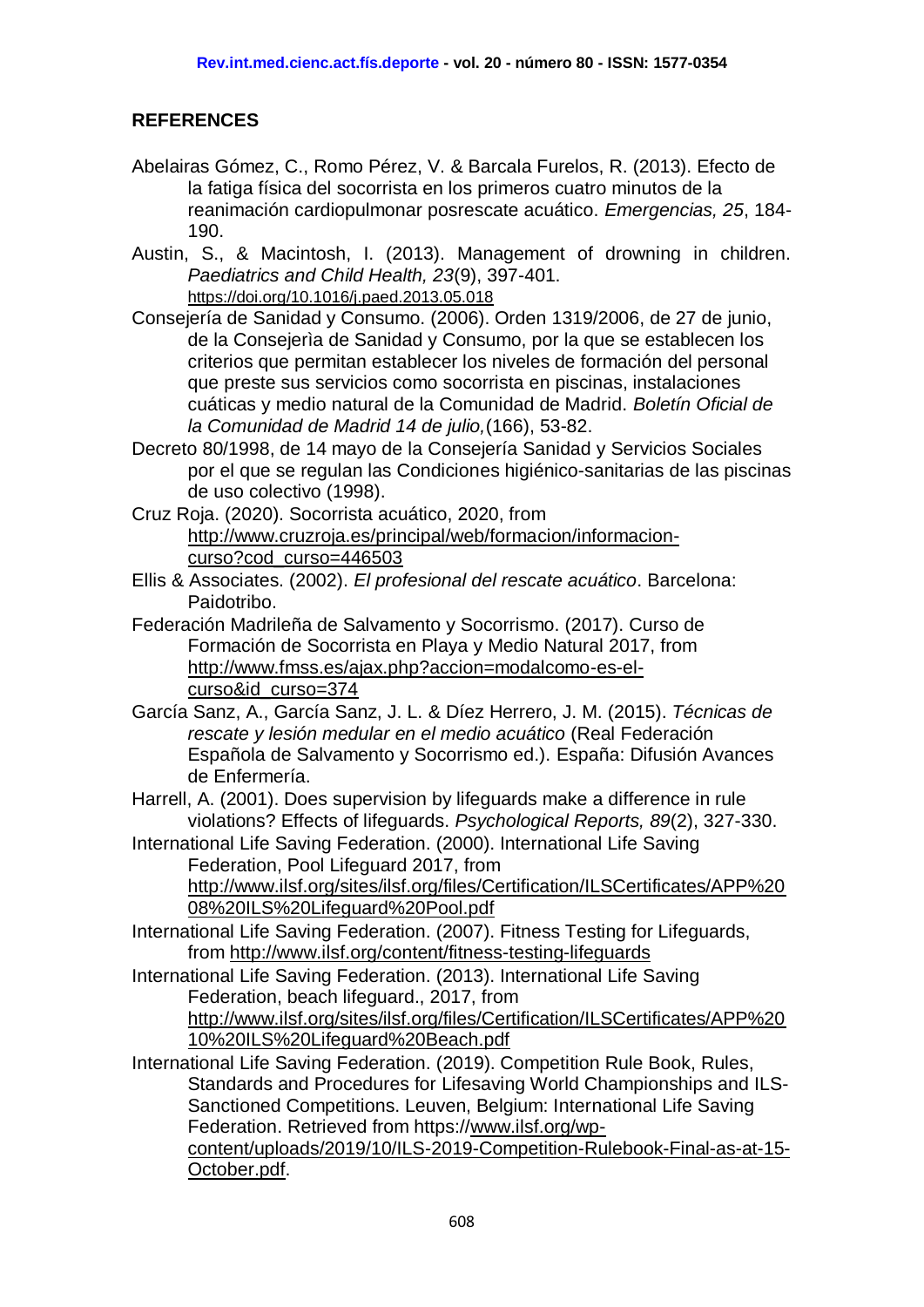# **REFERENCES**

- <span id="page-13-7"></span>Abelairas Gómez, C., Romo Pérez, V. & Barcala Furelos, R. (2013). Efecto de la fatiga física del socorrista en los primeros cuatro minutos de la reanimación cardiopulmonar posrescate acuático. *Emergencias, 25*, 184- 190.
- <span id="page-13-8"></span>Austin, S., & Macintosh, I. (2013). Management of drowning in children. *Paediatrics and Child Health, 23*(9), 397-401. <https://doi.org/10.1016/j.paed.2013.05.018>
- Consejería de Sanidad y Consumo. (2006). Orden 1319/2006, de 27 de junio, de la Consejerìa de Sanidad y Consumo, por la que se establecen los criterios que permitan establecer los niveles de formación del personal que preste sus servicios como socorrista en piscinas, instalaciones cuáticas y medio natural de la Comunidad de Madrid. *Boletín Oficial de la Comunidad de Madrid 14 de julio,*(166), 53-82.
- <span id="page-13-1"></span>Decreto 80/1998, de 14 mayo de la Consejería Sanidad y Servicios Sociales por el que se regulan las Condiciones higiénico-sanitarias de las piscinas de uso colectivo (1998).
- <span id="page-13-9"></span>Cruz Roja. (2020). Socorrista acuático, 2020, from [http://www.cruzroja.es/principal/web/formacion/informacion](http://www.cruzroja.es/principal/web/formacion/informacion-curso?cod_curso=446503)[curso?cod\\_curso=446503](http://www.cruzroja.es/principal/web/formacion/informacion-curso?cod_curso=446503)
- <span id="page-13-2"></span>Ellis & Associates. (2002). *El profesional del rescate acuático*. Barcelona: Paidotribo.
- <span id="page-13-10"></span>Federación Madrileña de Salvamento y Socorrismo. (2017). Curso de Formación de Socorrista en Playa y Medio Natural 2017, from [http://www.fmss.es/ajax.php?accion=modalcomo-es-el](http://www.fmss.es/ajax.php?accion=modalcomo-es-el-curso&id_curso=374)[curso&id\\_curso=374](http://www.fmss.es/ajax.php?accion=modalcomo-es-el-curso&id_curso=374)
- <span id="page-13-3"></span>García Sanz, A., García Sanz, J. L. & Díez Herrero, J. M. (2015). *Técnicas de rescate y lesión medular en el medio acuático* (Real Federación Española de Salvamento y Socorrismo ed.). España: Difusión Avances de Enfermería.
- <span id="page-13-0"></span>Harrell, A. (2001). Does supervision by lifeguards make a difference in rule violations? Effects of lifeguards. *Psychological Reports, 89*(2), 327-330.
- <span id="page-13-4"></span>International Life Saving Federation. (2000). International Life Saving Federation, Pool Lifeguard 2017, from [http://www.ilsf.org/sites/ilsf.org/files/Certification/ILSCertificates/APP%20](http://www.ilsf.org/sites/ilsf.org/files/Certification/ILSCertificates/APP%2008%20ILS%20Lifeguard%20Pool.pdf) [08%20ILS%20Lifeguard%20Pool.pdf](http://www.ilsf.org/sites/ilsf.org/files/Certification/ILSCertificates/APP%2008%20ILS%20Lifeguard%20Pool.pdf)
- <span id="page-13-5"></span>International Life Saving Federation. (2007). Fitness Testing for Lifeguards, from<http://www.ilsf.org/content/fitness-testing-lifeguards>
- <span id="page-13-6"></span>International Life Saving Federation. (2013). International Life Saving Federation, beach lifeguard., 2017, from [http://www.ilsf.org/sites/ilsf.org/files/Certification/ILSCertificates/APP%20](http://www.ilsf.org/sites/ilsf.org/files/Certification/ILSCertificates/APP%2010%20ILS%20Lifeguard%20Beach.pdf) [10%20ILS%20Lifeguard%20Beach.pdf](http://www.ilsf.org/sites/ilsf.org/files/Certification/ILSCertificates/APP%2010%20ILS%20Lifeguard%20Beach.pdf)
- <span id="page-13-11"></span>International Life Saving Federation. (2019). Competition Rule Book, Rules, Standards and Procedures for Lifesaving World Championships and ILS-Sanctioned Competitions. Leuven, Belgium: International Life Saving Federation. Retrieved from https:/[/www.ilsf.org/wp](http://www.ilsf.org/wp-content/uploads/2019/10/ILS-2019-Competition-Rulebook-Final-as-at-15-October.pdf)[content/uploads/2019/10/ILS-2019-Competition-Rulebook-Final-as-at-15-](http://www.ilsf.org/wp-content/uploads/2019/10/ILS-2019-Competition-Rulebook-Final-as-at-15-October.pdf) [October.pdf.](http://www.ilsf.org/wp-content/uploads/2019/10/ILS-2019-Competition-Rulebook-Final-as-at-15-October.pdf)